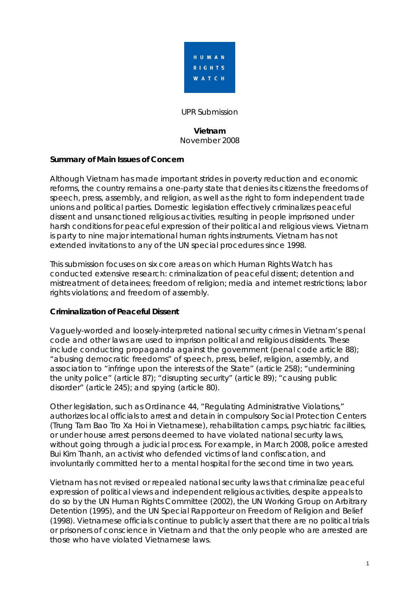

UPR Submission

#### **Vietnam**  November 2008

# **Summary of Main Issues of Concern**

Although Vietnam has made important strides in poverty reduction and economic reforms, the country remains a one-party state that denies its citizens the freedoms of speech, press, assembly, and religion, as well as the right to form independent trade unions and political parties. Domestic legislation effectively criminalizes peaceful dissent and unsanctioned religious activities, resulting in people imprisoned under harsh conditions for peaceful expression of their political and religious views. Vietnam is party to nine major international human rights instruments. Vietnam has not extended invitations to any of the UN special procedures since 1998.

This submission focuses on six core areas on which Human Rights Watch has conducted extensive research: criminalization of peaceful dissent; detention and mistreatment of detainees; freedom of religion; media and internet restrictions; labor rights violations; and freedom of assembly.

## **Criminalization of Peaceful Dissent**

Vaguely-worded and loosely-interpreted national security crimes in Vietnam's penal code and other laws are used to imprison political and religious dissidents. These include conducting propaganda against the government (penal code article 88); "abusing democratic freedoms" of speech, press, belief, religion, assembly, and association to "infringe upon the interests of the State" (article 258); "undermining the unity police" (article 87); "disrupting security" (article 89); "causing public disorder" (article 245); and spying (article 80).

Other legislation, such as Ordinance 44, "Regulating Administrative Violations," authorizes local officials to arrest and detain in compulsory Social Protection Centers (*Trung Tam Bao Tro Xa Hoi* in Vietnamese), rehabilitation camps, psychiatric facilities, or under house arrest persons deemed to have violated national security laws, without going through a judicial process. For example, in March 2008, police arrested Bui Kim Thanh, an activist who defended victims of land confiscation, and involuntarily committed her to a mental hospital for the second time in two years.

Vietnam has not revised or repealed national security laws that criminalize peaceful expression of political views and independent religious activities, despite appeals to do so by the UN Human Rights Committee (2002), the UN Working Group on Arbitrary Detention (1995), and the UN Special Rapporteur on Freedom of Religion and Belief (1998). Vietnamese officials continue to publicly assert that there are no political trials or prisoners of conscience in Vietnam and that the only people who are arrested are those who have violated Vietnamese laws.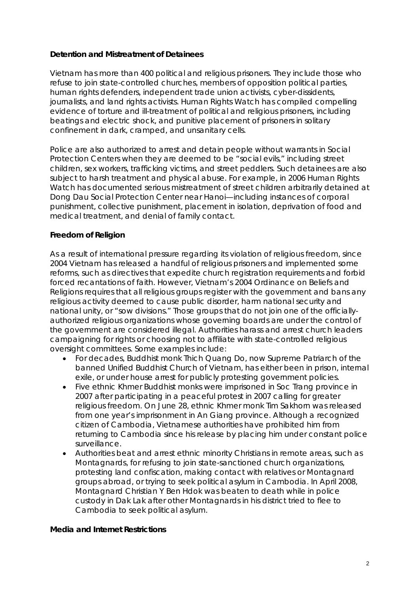#### **Detention and Mistreatment of Detainees**

Vietnam has more than 400 political and religious prisoners. They include those who refuse to join state-controlled churches, members of opposition political parties, human rights defenders, independent trade union activists, cyber-dissidents, journalists, and land rights activists. Human Rights Watch has compiled compelling evidence of torture and ill-treatment of political and religious prisoners, including beatings and electric shock, and punitive placement of prisoners in solitary confinement in dark, cramped, and unsanitary cells.

Police are also authorized to arrest and detain people without warrants in Social Protection Centers when they are deemed to be "social evils," including street children, sex workers, trafficking victims, and street peddlers. Such detainees are also subject to harsh treatment and physical abuse. For example, in 2006 Human Rights Watch has documented serious mistreatment of street children arbitrarily detained at Dong Dau Social Protection Center near Hanoi—including instances of corporal punishment, collective punishment, placement in isolation, deprivation of food and medical treatment, and denial of family contact.

## **Freedom of Religion**

As a result of international pressure regarding its violation of religious freedom, since 2004 Vietnam has released a handful of religious prisoners and implemented some reforms, such as directives that expedite church registration requirements and forbid forced recantations of faith. However, Vietnam's 2004 Ordinance on Beliefs and Religions requires that all religious groups register with the government and bans any religious activity deemed to cause public disorder, harm national security and national unity, or "sow divisions." Those groups that do not join one of the officiallyauthorized religious organizations whose governing boards are under the control of the government are considered illegal. Authorities harass and arrest church leaders campaigning for rights or choosing not to affiliate with state-controlled religious oversight committees. Some examples include:

- For decades, Buddhist monk Thich Quang Do, now Supreme Patriarch of the banned Unified Buddhist Church of Vietnam, has either been in prison, internal exile, or under house arrest for publicly protesting government policies.
- Five ethnic Khmer Buddhist monks were imprisoned in Soc Trang province in 2007 after participating in a peaceful protest in 2007 calling for greater religious freedom. On June 28, ethnic Khmer monk Tim Sakhorn was released from one year's imprisonment in An Giang province. Although a recognized citizen of Cambodia, Vietnamese authorities have prohibited him from returning to Cambodia since his release by placing him under constant police surveillance.
- Authorities beat and arrest ethnic minority Christians in remote areas, such as Montagnards, for refusing to join state-sanctioned church organizations, protesting land confiscation, making contact with relatives or Montagnard groups abroad, or trying to seek political asylum in Cambodia. In April 2008, Montagnard Christian Y Ben Hdok was beaten to death while in police custody in Dak Lak after other Montagnards in his district tried to flee to Cambodia to seek political asylum.

#### **Media and Internet Restrictions**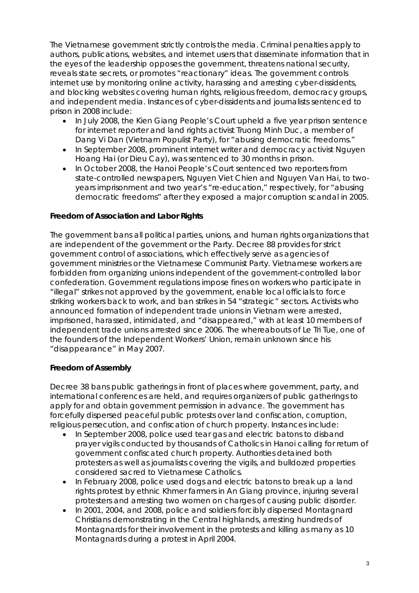The Vietnamese government strictly controls the media. Criminal penalties apply to authors, publications, websites, and internet users that disseminate information that in the eyes of the leadership opposes the government, threatens national security, reveals state secrets, or promotes "reactionary" ideas. The government controls internet use by monitoring online activity, harassing and arresting cyber-dissidents, and blocking websites covering human rights, religious freedom, democracy groups, and independent media. Instances of cyber-dissidents and journalists sentenced to prison in 2008 include:

- In July 2008, the Kien Giang People's Court upheld a five year prison sentence for internet reporter and land rights activist Truong Minh Duc, a member of *Dang Vi Dan* (Vietnam Populist Party), for "abusing democratic freedoms."
- In September 2008, prominent internet writer and democracy activist Nguyen Hoang Hai (or Dieu Cay), was sentenced to 30 months in prison.
- In October 2008, the Hanoi People's Court sentenced two reporters from state-controlled newspapers, Nguyen Viet Chien and Nguyen Van Hai, to twoyears imprisonment and two year's "re-education," respectively, for "abusing democratic freedoms" after they exposed a major corruption scandal in 2005.

## **Freedom of Association and Labor Rights**

The government bans all political parties, unions, and human rights organizations that are independent of the government or the Party. Decree 88 provides for strict government control of associations, which effectively serve as agencies of government ministries or the Vietnamese Communist Party. Vietnamese workers are forbidden from organizing unions independent of the government-controlled labor confederation. Government regulations impose fines on workers who participate in "illegal" strikes not approved by the government, enable local officials to force striking workers back to work, and ban strikes in 54 "strategic" sectors. Activists who announced formation of independent trade unions in Vietnam were arrested, imprisoned, harassed, intimidated, and "disappeared," with at least 10 members of independent trade unions arrested since 2006. The whereabouts of Le Tri Tue, one of the founders of the Independent Workers' Union, remain unknown since his "disappearance" in May 2007.

#### **Freedom of Assembly**

Decree 38 bans public gatherings in front of places where government, party, and international conferences are held, and requires organizers of public gatherings to apply for and obtain government permission in advance. The government has forcefully dispersed peaceful public protests over land confiscation, corruption, religious persecution, and confiscation of church property. Instances include:

- In September 2008, police used tear gas and electric batons to disband prayer vigils conducted by thousands of Catholics in Hanoi calling for return of government confiscated church property. Authorities detained both protesters as well as journalists covering the vigils, and bulldozed properties considered sacred to Vietnamese Catholics.
- In February 2008, police used dogs and electric batons to break up a land rights protest by ethnic Khmer farmers in An Giang province, injuring several protesters and arresting two women on charges of causing public disorder.
- In 2001, 2004, and 2008, police and soldiers forcibly dispersed Montagnard Christians demonstrating in the Central highlands, arresting hundreds of Montagnards for their involvement in the protests and killing as many as 10 Montagnards during a protest in April 2004.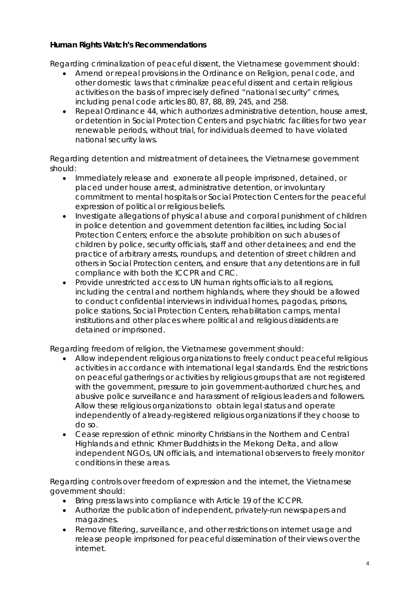# **Human Rights Watch's Recommendations**

*Regarding criminalization of peaceful dissent, the Vietnamese government should:* 

- Amend or repeal provisions in the Ordinance on Religion, penal code, and other domestic laws that criminalize peaceful dissent and certain religious activities on the basis of imprecisely defined "national security" crimes, including penal code articles 80, 87, 88, 89, 245, and 258.
- Repeal Ordinance 44, which authorizes administrative detention, house arrest, or detention in Social Protection Centers and psychiatric facilities for two year renewable periods, without trial, for individuals deemed to have violated national security laws.

## *Regarding detention and mistreatment of detainees, the Vietnamese government should:*

- Immediately release and exonerate all people imprisoned, detained, or placed under house arrest, administrative detention, or involuntary commitment to mental hospitals or Social Protection Centers for the peaceful expression of political or religious beliefs.
- Investigate allegations of physical abuse and corporal punishment of children in police detention and government detention facilities, including Social Protection Centers; enforce the absolute prohibition on such abuses of children by police, security officials, staff and other detainees; and end the practice of arbitrary arrests, roundups, and detention of street children and others in Social Protection centers, and ensure that any detentions are in full compliance with both the ICCPR and CRC.
- Provide unrestricted access to UN human rights officials to all regions, including the central and northern highlands, where they should be allowed to conduct confidential interviews in individual homes, pagodas, prisons, police stations, Social Protection Centers, rehabilitation camps, mental institutions and other places where political and religious dissidents are detained or imprisoned.

# *Regarding freedom of religion, the Vietnamese government should:*

- Allow independent religious organizations to freely conduct peaceful religious activities in accordance with international legal standards. End the restrictions on peaceful gatherings or activities by religious groups that are not registered with the government, pressure to join government-authorized churches, and abusive police surveillance and harassment of religious leaders and followers. Allow these religious organizations to obtain legal status and operate independently of already-registered religious organizations if they choose to do so.
- Cease repression of ethnic minority Christians in the Northern and Central Highlands and ethnic Khmer Buddhists in the Mekong Delta, and allow independent NGOs, UN officials, and international observers to freely monitor conditions in these areas.

# *Regarding controls over freedom of expression and the internet, the Vietnamese government should:*

- Bring press laws into compliance with Article 19 of the ICCPR.
- Authorize the publication of independent, privately-run newspapers and magazines.
- Remove filtering, surveillance, and other restrictions on internet usage and release people imprisoned for peaceful dissemination of their views over the internet.